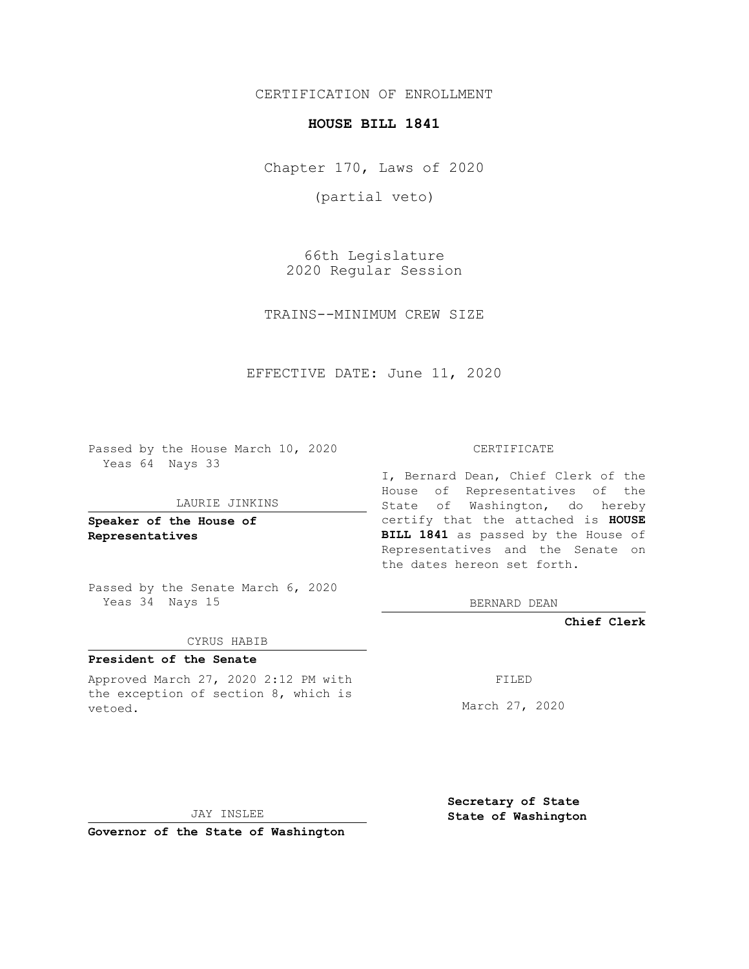CERTIFICATION OF ENROLLMENT

### **HOUSE BILL 1841**

Chapter 170, Laws of 2020

(partial veto)

66th Legislature 2020 Regular Session

TRAINS--MINIMUM CREW SIZE

EFFECTIVE DATE: June 11, 2020

Passed by the House March 10, 2020 Yeas 64 Nays 33

#### LAURIE JINKINS

**Speaker of the House of Representatives**

Passed by the Senate March 6, 2020 Yeas 34 Nays 15

#### CYRUS HABIB

# **President of the Senate**

Approved March 27, 2020 2:12 PM with the exception of section 8, which is vetoed.

#### CERTIFICATE

I, Bernard Dean, Chief Clerk of the House of Representatives of the State of Washington, do hereby certify that the attached is **HOUSE BILL 1841** as passed by the House of Representatives and the Senate on the dates hereon set forth.

BERNARD DEAN

**Chief Clerk**

FILED

March 27, 2020

JAY INSLEE

**Governor of the State of Washington**

**Secretary of State State of Washington**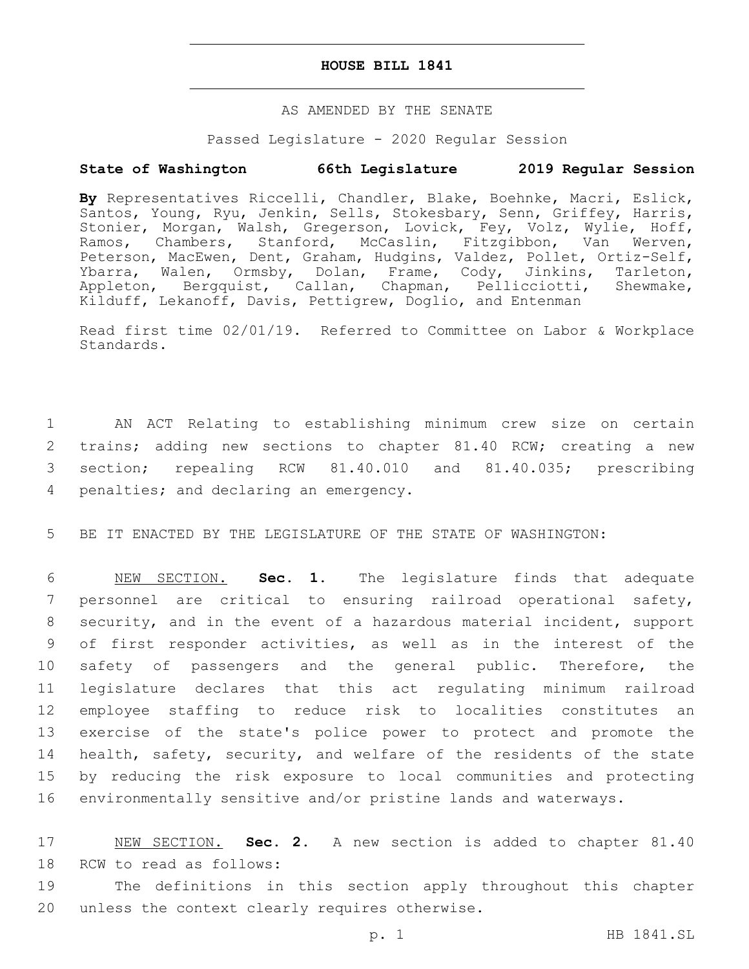### **HOUSE BILL 1841**

## AS AMENDED BY THE SENATE

### Passed Legislature - 2020 Regular Session

# **State of Washington 66th Legislature 2019 Regular Session**

**By** Representatives Riccelli, Chandler, Blake, Boehnke, Macri, Eslick, Santos, Young, Ryu, Jenkin, Sells, Stokesbary, Senn, Griffey, Harris, Stonier, Morgan, Walsh, Gregerson, Lovick, Fey, Volz, Wylie, Hoff, Ramos, Chambers, Stanford, McCaslin, Fitzgibbon, Van Werven, Peterson, MacEwen, Dent, Graham, Hudgins, Valdez, Pollet, Ortiz-Self, Ybarra, Walen, Ormsby, Dolan, Frame, Cody, Jinkins, Tarleton, Appleton, Bergquist, Callan, Chapman, Pellicciotti, Shewmake, Kilduff, Lekanoff, Davis, Pettigrew, Doglio, and Entenman

Read first time 02/01/19. Referred to Committee on Labor & Workplace Standards.

 AN ACT Relating to establishing minimum crew size on certain trains; adding new sections to chapter 81.40 RCW; creating a new section; repealing RCW 81.40.010 and 81.40.035; prescribing 4 penalties; and declaring an emergency.

5 BE IT ENACTED BY THE LEGISLATURE OF THE STATE OF WASHINGTON:

 NEW SECTION. **Sec. 1.** The legislature finds that adequate personnel are critical to ensuring railroad operational safety, security, and in the event of a hazardous material incident, support of first responder activities, as well as in the interest of the safety of passengers and the general public. Therefore, the legislature declares that this act regulating minimum railroad employee staffing to reduce risk to localities constitutes an exercise of the state's police power to protect and promote the health, safety, security, and welfare of the residents of the state by reducing the risk exposure to local communities and protecting environmentally sensitive and/or pristine lands and waterways.

17 NEW SECTION. **Sec. 2.** A new section is added to chapter 81.40 18 RCW to read as follows:

19 The definitions in this section apply throughout this chapter 20 unless the context clearly requires otherwise.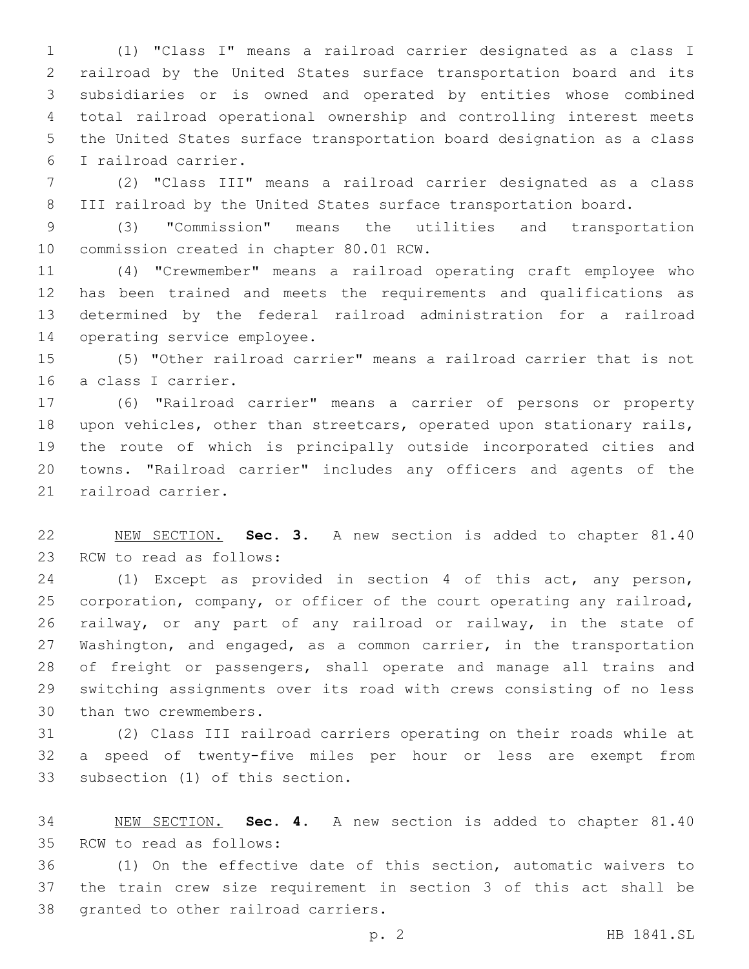(1) "Class I" means a railroad carrier designated as a class I railroad by the United States surface transportation board and its subsidiaries or is owned and operated by entities whose combined total railroad operational ownership and controlling interest meets the United States surface transportation board designation as a class I railroad carrier.6

 (2) "Class III" means a railroad carrier designated as a class III railroad by the United States surface transportation board.

 (3) "Commission" means the utilities and transportation 10 commission created in chapter 80.01 RCW.

 (4) "Crewmember" means a railroad operating craft employee who has been trained and meets the requirements and qualifications as determined by the federal railroad administration for a railroad 14 operating service employee.

 (5) "Other railroad carrier" means a railroad carrier that is not 16 a class I carrier.

 (6) "Railroad carrier" means a carrier of persons or property upon vehicles, other than streetcars, operated upon stationary rails, the route of which is principally outside incorporated cities and towns. "Railroad carrier" includes any officers and agents of the 21 railroad carrier.

 NEW SECTION. **Sec. 3.** A new section is added to chapter 81.40 23 RCW to read as follows:

 (1) Except as provided in section 4 of this act, any person, corporation, company, or officer of the court operating any railroad, railway, or any part of any railroad or railway, in the state of 27 Washington, and engaged, as a common carrier, in the transportation of freight or passengers, shall operate and manage all trains and switching assignments over its road with crews consisting of no less 30 than two crewmembers.

 (2) Class III railroad carriers operating on their roads while at a speed of twenty-five miles per hour or less are exempt from 33 subsection (1) of this section.

 NEW SECTION. **Sec. 4.** A new section is added to chapter 81.40 35 RCW to read as follows:

 (1) On the effective date of this section, automatic waivers to the train crew size requirement in section 3 of this act shall be 38 granted to other railroad carriers.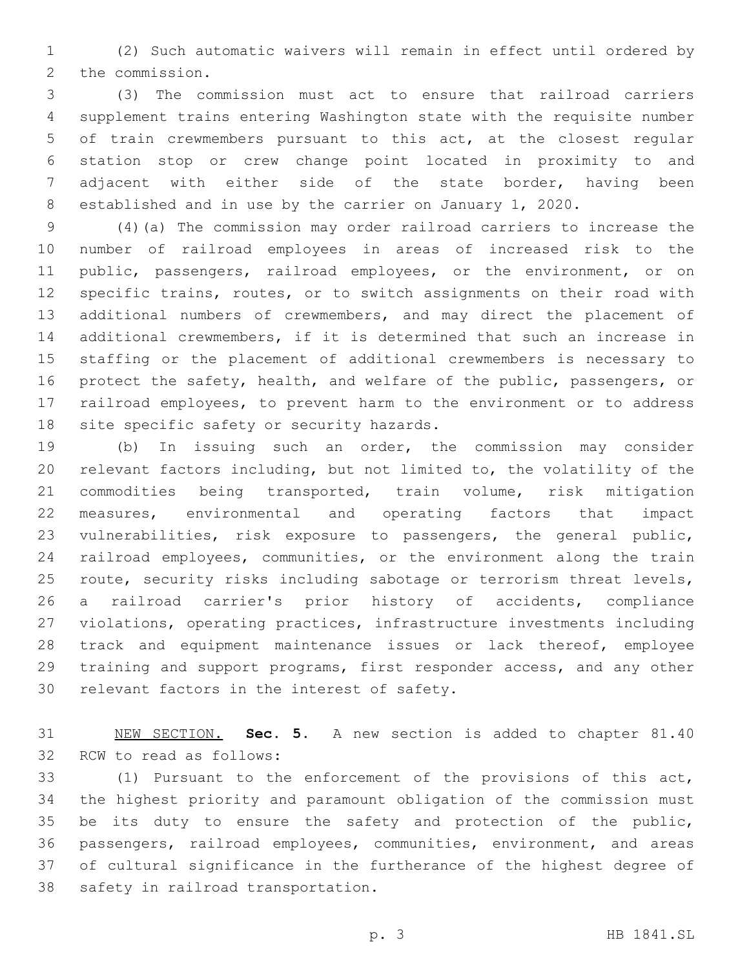(2) Such automatic waivers will remain in effect until ordered by 2 the commission.

 (3) The commission must act to ensure that railroad carriers supplement trains entering Washington state with the requisite number of train crewmembers pursuant to this act, at the closest regular station stop or crew change point located in proximity to and adjacent with either side of the state border, having been established and in use by the carrier on January 1, 2020.

 (4)(a) The commission may order railroad carriers to increase the number of railroad employees in areas of increased risk to the 11 public, passengers, railroad employees, or the environment, or on specific trains, routes, or to switch assignments on their road with additional numbers of crewmembers, and may direct the placement of additional crewmembers, if it is determined that such an increase in staffing or the placement of additional crewmembers is necessary to protect the safety, health, and welfare of the public, passengers, or railroad employees, to prevent harm to the environment or to address 18 site specific safety or security hazards.

 (b) In issuing such an order, the commission may consider relevant factors including, but not limited to, the volatility of the commodities being transported, train volume, risk mitigation measures, environmental and operating factors that impact vulnerabilities, risk exposure to passengers, the general public, railroad employees, communities, or the environment along the train route, security risks including sabotage or terrorism threat levels, a railroad carrier's prior history of accidents, compliance violations, operating practices, infrastructure investments including track and equipment maintenance issues or lack thereof, employee training and support programs, first responder access, and any other 30 relevant factors in the interest of safety.

 NEW SECTION. **Sec. 5.** A new section is added to chapter 81.40 32 RCW to read as follows:

 (1) Pursuant to the enforcement of the provisions of this act, the highest priority and paramount obligation of the commission must 35 be its duty to ensure the safety and protection of the public, passengers, railroad employees, communities, environment, and areas of cultural significance in the furtherance of the highest degree of 38 safety in railroad transportation.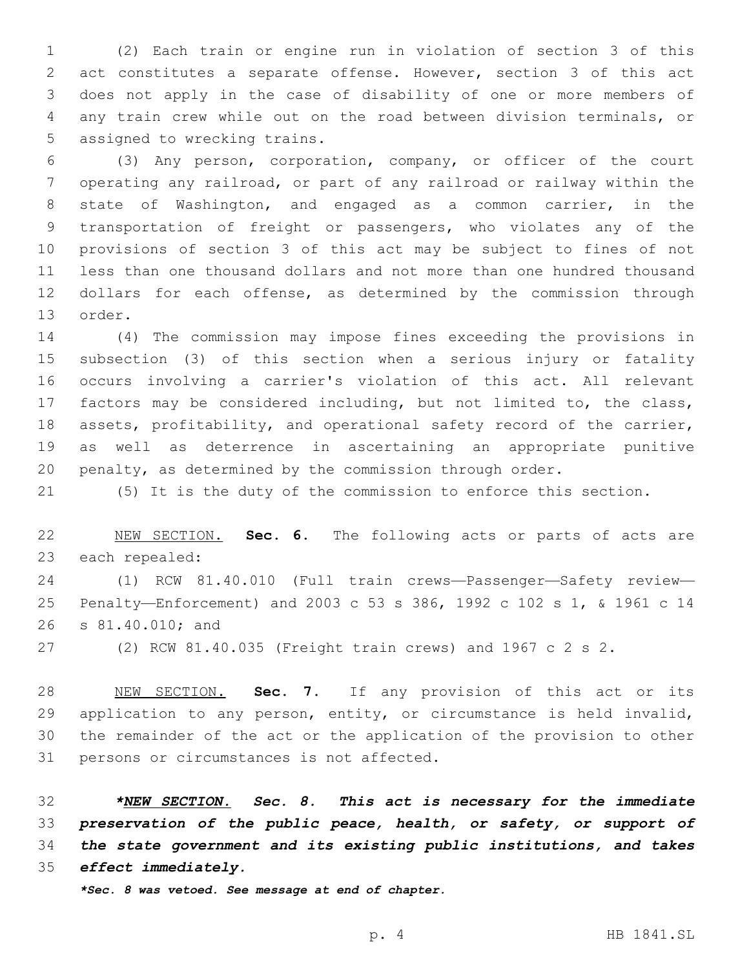(2) Each train or engine run in violation of section 3 of this act constitutes a separate offense. However, section 3 of this act does not apply in the case of disability of one or more members of any train crew while out on the road between division terminals, or 5 assigned to wrecking trains.

 (3) Any person, corporation, company, or officer of the court operating any railroad, or part of any railroad or railway within the state of Washington, and engaged as a common carrier, in the transportation of freight or passengers, who violates any of the provisions of section 3 of this act may be subject to fines of not less than one thousand dollars and not more than one hundred thousand dollars for each offense, as determined by the commission through 13 order.

 (4) The commission may impose fines exceeding the provisions in subsection (3) of this section when a serious injury or fatality occurs involving a carrier's violation of this act. All relevant factors may be considered including, but not limited to, the class, assets, profitability, and operational safety record of the carrier, as well as deterrence in ascertaining an appropriate punitive penalty, as determined by the commission through order.

(5) It is the duty of the commission to enforce this section.

 NEW SECTION. **Sec. 6.** The following acts or parts of acts are each repealed:

 (1) RCW 81.40.010 (Full train crews—Passenger—Safety review— Penalty—Enforcement) and 2003 c 53 s 386, 1992 c 102 s 1, & 1961 c 14 26 s 81.40.010; and

(2) RCW 81.40.035 (Freight train crews) and 1967 c 2 s 2.

 NEW SECTION. **Sec. 7.** If any provision of this act or its application to any person, entity, or circumstance is held invalid, the remainder of the act or the application of the provision to other persons or circumstances is not affected.

 *\*NEW SECTION. Sec. 8. This act is necessary for the immediate preservation of the public peace, health, or safety, or support of the state government and its existing public institutions, and takes effect immediately.*

*\*Sec. 8 was vetoed. See message at end of chapter.*

p. 4 HB 1841.SL